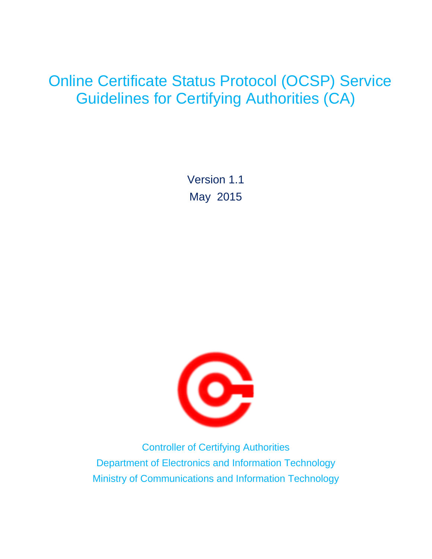## Online Certificate Status Protocol (OCSP) Service Guidelines for Certifying Authorities (CA)

Version 1.1 May 2015



Controller of Certifying Authorities Department of Electronics and Information Technology Ministry of Communications and Information Technology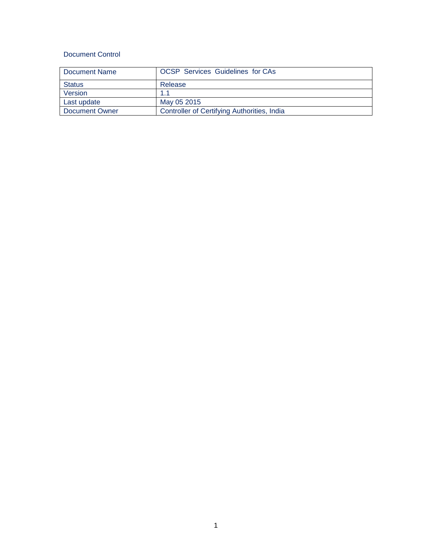## Document Control

| Document Name  | <b>OCSP</b> Services Guidelines for CAs     |
|----------------|---------------------------------------------|
| <b>Status</b>  | Release                                     |
| Version        | 11                                          |
| Last update    | May 05 2015                                 |
| Document Owner | Controller of Certifying Authorities, India |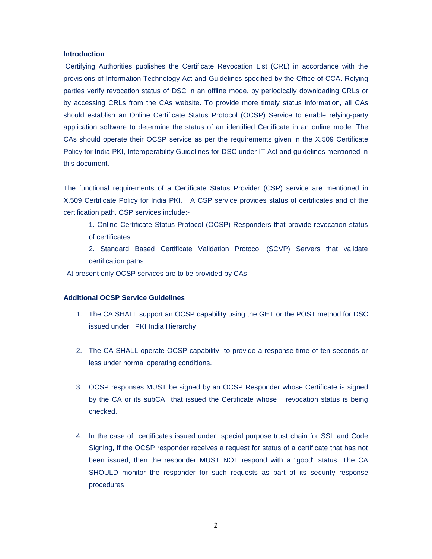## **Introduction**

Certifying Authorities publishes the Certificate Revocation List (CRL) in accordance with the provisions of Information Technology Act and Guidelines specified by the Office of CCA. Relying parties verify revocation status of DSC in an offline mode, by periodically downloading CRLs or by accessing CRLs from the CAs website. To provide more timely status information, all CAs should establish an Online Certificate Status Protocol (OCSP) Service to enable relying-party application software to determine the status of an identified Certificate in an online mode. The CAs should operate their OCSP service as per the requirements given in the X.509 Certificate Policy for India PKI, Interoperability Guidelines for DSC under IT Act and guidelines mentioned in this document.

The functional requirements of a Certificate Status Provider (CSP) service are mentioned in X.509 Certificate Policy for India PKI. A CSP service provides status of certificates and of the certification path. CSP services include:-

1. Online Certificate Status Protocol (OCSP) Responders that provide revocation status of certificates

2. Standard Based Certificate Validation Protocol (SCVP) Servers that validate certification paths

At present only OCSP services are to be provided by CAs

## **Additional OCSP Service Guidelines**

- 1. The CA SHALL support an OCSP capability using the GET or the POST method for DSC issued under PKI India Hierarchy
- 2. The CA SHALL operate OCSP capability to provide a response time of ten seconds or less under normal operating conditions.
- 3. OCSP responses MUST be signed by an OCSP Responder whose Certificate is signed by the CA or its subCA that issued the Certificate whose revocation status is being checked.
- 4. In the case of certificates issued under special purpose trust chain for SSL and Code Signing, If the OCSP responder receives a request for status of a certificate that has not been issued, then the responder MUST NOT respond with a "good" status. The CA SHOULD monitor the responder for such requests as part of its security response procedures.